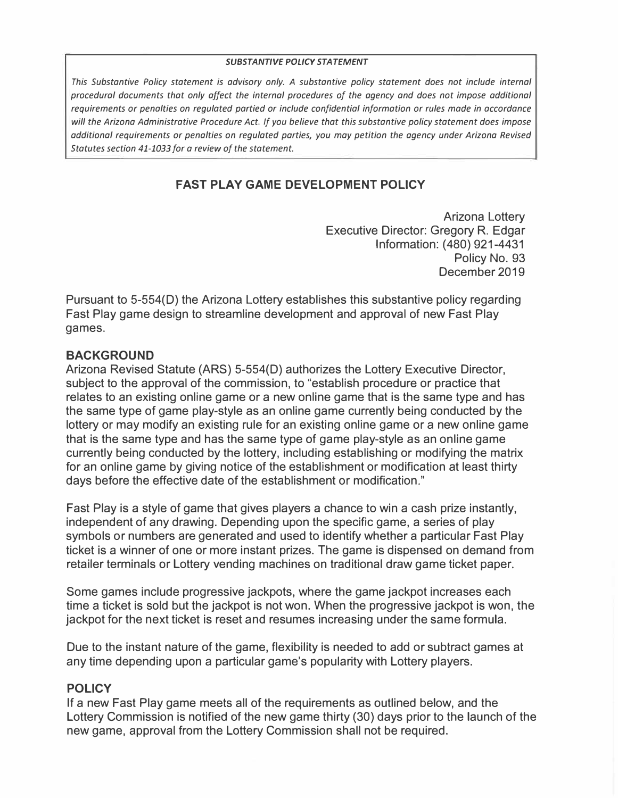#### *SUBSTANTIVE POLICY STATEMENT*

*This Substantive Pa/icy statement is advisory only. A substantive policy statement does not include internal procedural documents that only affect the internal procedures of the agency and does not impose additional requirements or penalties on regulated partied or include confidential information or rules made in accordance will the Arizona Administrative Procedure Act. If you believe that this substantive policy statement does impose additional requirements or penalties on regulated parties, you may petition the agency under Arizona Revised Statutes section 41-1033 for a review of the statement.* 

# **FAST PLAY GAME DEVELOPMENT POLICY**

Arizona Lottery Executive Director: Gregory R. Edgar Information: (480) 921-4431 Policy No. 93 December 2019

Pursuant to 5-554(0) the Arizona Lottery establishes this substantive policy regarding Fast Play game design to streamline development and approval of new Fast Play games.

#### **BACKGROUND**

Arizona Revised Statute (ARS) 5-554(0) authorizes the Lottery Executive Director, subject to the approval of the commission, to "establish procedure or practice that relates to an existing online game or a new online game that is the same type and has the same type of game play-style as an online game currently being conducted by the lottery or may modify an existing rule for an existing online game or a new online game that is the same type and has the same type of game play-style as an online game currently being conducted by the lottery, including establishing or modifying the matrix for an online game by giving notice of the establishment or modification at least thirty days before the effective date of the establishment or modification."

Fast Play is a style of game that gives players a chance to win a cash prize instantly, independent of any drawing. Depending upon the specific game, a series of play symbols or numbers are generated and used to identify whether a particular Fast Play ticket is a winner of one or more instant prizes. The game is dispensed on demand from retailer terminals or Lottery vending machines on traditional draw game ticket paper.

Some games include progressive jackpots, where the game jackpot increases each time a ticket is sold but the jackpot is not won. When the progressive jackpot is won, the jackpot for the next ticket is reset and resumes increasing under the same formula.

Due to the instant nature of the game, flexibility is needed to add or subtract games at any time depending upon a particular game's popularity with Lottery players.

### **POLICY**

If a new Fast Play game meets all of the requirements as outlined below, and the Lottery Commission is notified of the new game thirty (30) days prior to the launch of the new game, approval from the Lottery Commission shall not be required.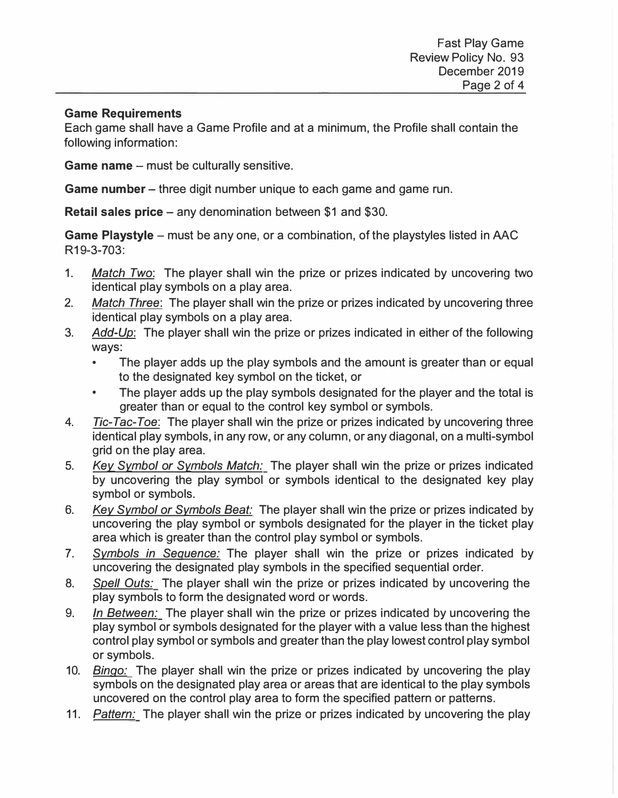#### **Game Requirements**

Each game shall have a Game Profile and at a minimum, the Profile shall contain the following information:

**Game name** – must be culturally sensitive.

**Game number** – three digit number unique to each game and game run.

**Retail sales price – any denomination between \$1 and \$30.** 

**Game Playstyle** – must be any one, or a combination, of the playstyles listed in AAC R19-3-703:

- 1. *Match Two:* The player shall win the prize or prizes indicated by uncovering two identical play symbols on a play area.
- 2. *Match Three:* The player shall win the prize or prizes indicated by uncovering three identical play symbols on a play area.
- 3. *Add-Up:* The player shall win the prize or prizes indicated in either of the following ways:
	- The player adds up the play symbols and the amount is greater than or equal to the designated key symbol on the ticket, or
	- The player adds up the play symbols designated for the player and the total is greater than or equal to the control key symbol or symbols.
- 4. *Tic-Tac-Toe:* The player shall win the prize or prizes indicated by uncovering three identical play symbols, in any row, or any column, or any diagonal, on a multi-symbol grid on the play area.
- 5. *Key Symbol or Symbols Match:* The player shall win the prize or prizes indicated by uncovering the play symbol or symbols identical to the designated key play symbol or symbols.
- 6. *Key Symbol or Symbols Beat:* The player shall win the prize or prizes indicated by uncovering the play symbol or symbols designated for the player in the ticket play area which is greater than the control play symbol or symbols.
- 7. *Symbols in Sequence:* The player shall win the prize or prizes indicated by uncovering the designated play symbols in the specified sequential order.
- 8. *Spell Outs:* The player shall win the prize or prizes indicated by uncovering the play symbols to form the designated word or words.
- 9. *In Between:* The player shall win the prize or prizes indicated by uncovering the play symbol or symbols designated for the player with a value less than the highest control play symbol or symbols and greater than the play lowest control play symbol or symbols.
- 10. *Bingo:* The player shall win the prize or prizes indicated by uncovering the play symbols on the designated play area or areas that are identical to the play symbols uncovered on the control play area to form the specified pattern or patterns.
- 11. *Pattern:* The player shall win the prize or prizes indicated by uncovering the play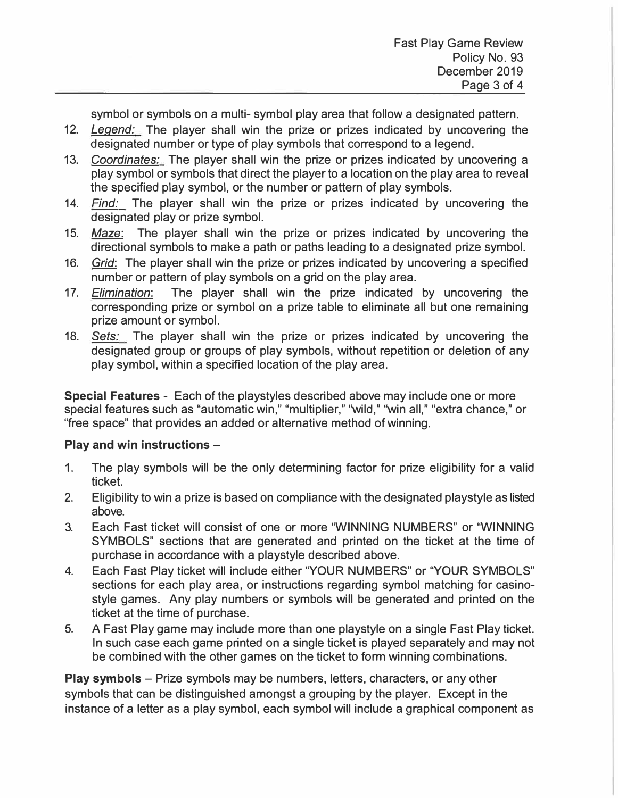symbol or symbols on a multi- symbol play area that follow a designated pattern.

- 12. *Legend:* The player shall win the prize or prizes indicated by uncovering the designated number or type of play symbols that correspond to a legend.
- 13. *Coordinates:* The player shall win the prize or prizes indicated by uncovering a play symbol or symbols that direct the player to a location on the play area to reveal the specified play symbol, or the number or pattern of play symbols.
- 14. *Find:* The player shall win the prize or prizes indicated by uncovering the designated play or prize symbol.
- 15. Maze: The player shall win the prize or prizes indicated by uncovering the directional symbols to make a path or paths leading to a designated prize symbol.
- 16. *Grid:* The player shall win the prize or prizes indicated by uncovering a specified number or pattern of play symbols on a grid on the play area.
- 17. *Elimination:* The player shall win the prize indicated by uncovering the corresponding prize or symbol on a prize table to eliminate all but one remaining prize amount or symbol.
- 18. *Sets:* The player shall win the prize or prizes indicated by uncovering the designated group or groups of play symbols, without repetition or deletion of any play symbol, within a specified location of the play area.

**Special Features** - Each of the playstyles described above may include one or more special features such as "automatic win," "multiplier," "wild," "win all," "extra chance," or "free space" that provides an added or alternative method of winning.

## **Play and win instructions** -

- 1. The play symbols will be the only determining factor for prize eligibility for a valid ticket.
- 2. Eligibility to win a prize is based on compliance with the designated playstyle as listed above.
- 3. Each Fast ticket will consist of one or more "WINNING NUMBERS" or "WINNING SYMBOLS" sections that are generated and printed on the ticket at the time of purchase in accordance with a playstyle described above.
- 4. Each Fast Play ticket will include either "YOUR NUMBERS" or "YOUR SYMBOLS" sections for each play area, or instructions regarding symbol matching for casinostyle games. Any play numbers or symbols will be generated and printed on the ticket at the time of purchase.
- 5. A Fast Play game may include more than one playstyle on a single Fast Play ticket. In such case each game printed on a single ticket is played separately and may not be combined with the other games on the ticket to form winning combinations.

**Play symbols** - Prize symbols may be numbers, letters, characters, or any other symbols that can be distinguished amongst a grouping by the player. Except in the instance of a letter as a play symbol, each symbol will include a graphical component as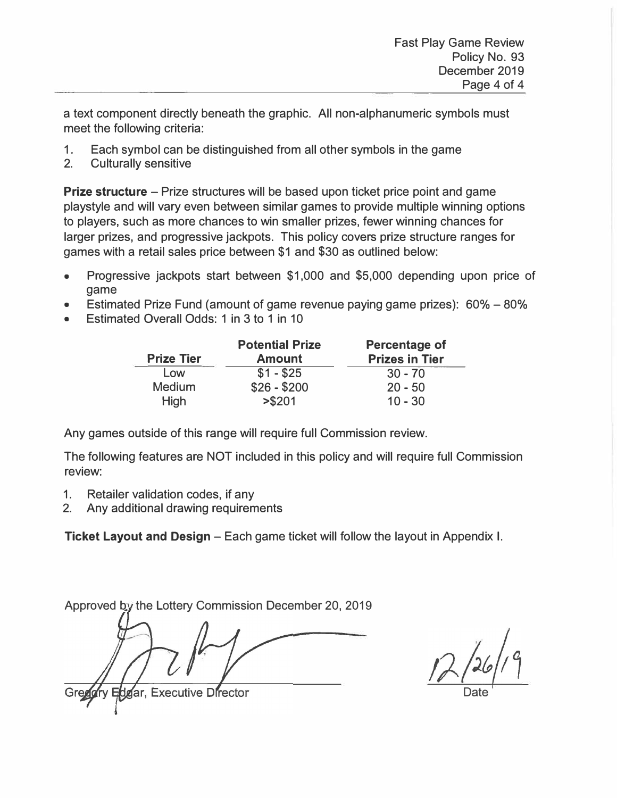a text component directly beneath the graphic. All non-alphanumeric symbols must meet the following criteria:

- 1. Each symbol can be distinguished from all other symbols in the game
- 2. Culturally sensitive

**Prize structure** – Prize structures will be based upon ticket price point and game playstyle and will vary even between similar games to provide multiple winning options to players, such as more chances to win smaller prizes, fewer winning chances for larger prizes, and progressive jackpots. This policy covers prize structure ranges for games with a retail sales price between \$1 and \$30 as outlined below:

- Progressive jackpots start between \$1,000 and \$5,000 depending upon price of game
- Estimated Prize Fund (amount of game revenue paying game prizes): 60% 80%
- Estimated Overall Odds: 1 in 3 to 1 in 10

|                   | <b>Potential Prize</b> | <b>Percentage of</b>  |
|-------------------|------------------------|-----------------------|
| <b>Prize Tier</b> | <b>Amount</b>          | <b>Prizes in Tier</b> |
| Low               | $$1 - $25$             | $30 - 70$             |
| <b>Medium</b>     | $$26 - $200$           | $20 - 50$             |
| <b>High</b>       | > \$201                | $10 - 30$             |

Any games outside of this range will require full Commission review.

The following features are NOT included in this policy and will require full Commission review:

- 1. Retailer validation codes, if any
- 2. Any additional drawing requirements

**Ticket Layout and Design** - Each game ticket will follow the layout in Appendix I.

Approved by the Lottery Commission December 20, 2019

dgar, Executive **D**rector

Date